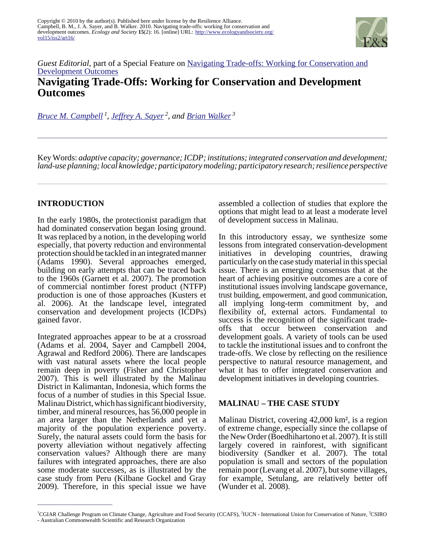

*Guest Editorial*, part of a Special Feature on [Navigating Trade-offs: Working for Conservation and](http://www.ecologyandsociety.org/viewissue.php?sf=26) [Development Outcomes](http://www.ecologyandsociety.org/viewissue.php?sf=26) **Navigating Trade-Offs: Working for Conservation and Development Outcomes**

*[Bruce M. Campbell](mailto:brca@life.ku.dk)<sup>1</sup> , [Jeffrey A. Sayer](mailto:jeff.sayer@iucn.org)<sup>2</sup>, and [Brian Walker](mailto:Brian.Walker@csiro.au)<sup>3</sup>*

Key Words: *adaptive capacity; governance; ICDP; institutions; integrated conservation and development; land-use planning; local knowledge; participatory modeling; participatory research; resilience perspective*

# **INTRODUCTION**

In the early 1980s, the protectionist paradigm that had dominated conservation began losing ground. It was replaced by a notion, in the developing world especially, that poverty reduction and environmental protection should be tackled in an integrated manner (Adams 1990). Several approaches emerged, building on early attempts that can be traced back to the 1960s (Garnett et al. 2007). The promotion of commercial nontimber forest product (NTFP) production is one of those approaches (Kusters et al. 2006). At the landscape level, integrated conservation and development projects (ICDPs) gained favor.

Integrated approaches appear to be at a crossroad (Adams et al. 2004, Sayer and Campbell 2004, Agrawal and Redford 2006). There are landscapes with vast natural assets where the local people remain deep in poverty (Fisher and Christopher 2007). This is well illustrated by the Malinau District in Kalimantan, Indonesia, which forms the focus of a number of studies in this Special Issue. Malinau District, which has significant biodiversity, timber, and mineral resources, has 56,000 people in an area larger than the Netherlands and yet a majority of the population experience poverty. Surely, the natural assets could form the basis for poverty alleviation without negatively affecting conservation values? Although there are many failures with integrated approaches, there are also some moderate successes, as is illustrated by the case study from Peru (Kilbane Gockel and Gray 2009). Therefore, in this special issue we have

assembled a collection of studies that explore the options that might lead to at least a moderate level of development success in Malinau.

In this introductory essay, we synthesize some lessons from integrated conservation-development initiatives in developing countries, drawing particularly on the case study material in this special issue. There is an emerging consensus that at the heart of achieving positive outcomes are a core of institutional issues involving landscape governance, trust building, empowerment, and good communication, all implying long-term commitment by, and flexibility of, external actors. Fundamental to success is the recognition of the significant tradeoffs that occur between conservation and development goals. A variety of tools can be used to tackle the institutional issues and to confront the trade-offs. We close by reflecting on the resilience perspective to natural resource management, and what it has to offer integrated conservation and development initiatives in developing countries.

### **MALINAU – THE CASE STUDY**

Malinau District, covering 42,000 km², is a region of extreme change, especially since the collapse of the New Order (Boedhihartono et al. 2007). It is still largely covered in rainforest, with significant biodiversity (Sandker et al. 2007). The total population is small and sectors of the population remain poor (Levang et al. 2007), but some villages, for example, Setulang, are relatively better off (Wunder et al. 2008).

<sup>&</sup>lt;sup>1</sup>CGIAR Challenge Program on Climate Change, Agriculture and Food Security (CCAFS), <sup>2</sup>IUCN - International Union for Conservation of Nature, <sup>3</sup>CSIRO - Australian Commonwealth Scientific and Research Organization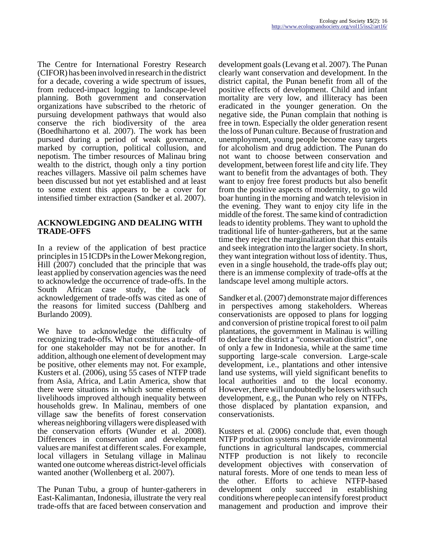The Centre for International Forestry Research (CIFOR) has been involved in research in the district for a decade, covering a wide spectrum of issues, from reduced-impact logging to landscape-level planning. Both government and conservation organizations have subscribed to the rhetoric of pursuing development pathways that would also conserve the rich biodiversity of the area (Boedhihartono et al. 2007). The work has been pursued during a period of weak governance, marked by corruption, political collusion, and nepotism. The timber resources of Malinau bring wealth to the district, though only a tiny portion reaches villagers. Massive oil palm schemes have been discussed but not yet established and at least to some extent this appears to be a cover for intensified timber extraction (Sandker et al. 2007).

### **ACKNOWLEDGING AND DEALING WITH TRADE-OFFS**

In a review of the application of best practice principles in 15 ICDPs in the Lower Mekong region, Hill (2007) concluded that the principle that was least applied by conservation agencies was the need to acknowledge the occurrence of trade-offs. In the South African case study, the lack of acknowledgement of trade-offs was cited as one of the reasons for limited success (Dahlberg and Burlando 2009).

We have to acknowledge the difficulty of recognizing trade-offs. What constitutes a trade-off for one stakeholder may not be for another. In addition, although one element of development may be positive, other elements may not. For example, Kusters et al. (2006), using 55 cases of NTFP trade from Asia, Africa, and Latin America, show that there were situations in which some elements of livelihoods improved although inequality between households grew. In Malinau, members of one village saw the benefits of forest conservation whereas neighboring villagers were displeased with the conservation efforts (Wunder et al. 2008). Differences in conservation and development values are manifest at different scales. For example, local villagers in Setulang village in Malinau wanted one outcome whereas district-level officials wanted another (Wollenberg et al. 2007).

The Punan Tubu, a group of hunter-gatherers in East-Kalimantan, Indonesia, illustrate the very real trade-offs that are faced between conservation and

development goals (Levang et al. 2007). The Punan clearly want conservation and development. In the district capital, the Punan benefit from all of the positive effects of development. Child and infant mortality are very low, and illiteracy has been eradicated in the younger generation. On the negative side, the Punan complain that nothing is free in town. Especially the older generation resent the loss of Punan culture. Because of frustration and unemployment, young people become easy targets for alcoholism and drug addiction. The Punan do not want to choose between conservation and development, between forest life and city life. They want to benefit from the advantages of both. They want to enjoy free forest products but also benefit from the positive aspects of modernity, to go wild boar hunting in the morning and watch television in the evening. They want to enjoy city life in the middle of the forest. The same kind of contradiction leads to identity problems. They want to uphold the traditional life of hunter-gatherers, but at the same time they reject the marginalization that this entails and seek integration into the larger society. In short, they want integration without loss of identity. Thus, even in a single household, the trade-offs play out; there is an immense complexity of trade-offs at the landscape level among multiple actors.

Sandker et al. (2007) demonstrate major differences in perspectives among stakeholders. Whereas conservationists are opposed to plans for logging and conversion of pristine tropical forest to oil palm plantations, the government in Malinau is willing to declare the district a "conservation district", one of only a few in Indonesia, while at the same time supporting large-scale conversion. Large-scale development, i.e., plantations and other intensive land use systems, will yield significant benefits to local authorities and to the local economy. However, there will undoubtedly be losers with such development, e.g., the Punan who rely on NTFPs, those displaced by plantation expansion, and conservationists.

Kusters et al. (2006) conclude that, even though NTFP production systems may provide environmental functions in agricultural landscapes, commercial NTFP production is not likely to reconcile development objectives with conservation of natural forests. More of one tends to mean less of the other. Efforts to achieve NTFP-based development only succeed in establishing conditions where people can intensify forest product management and production and improve their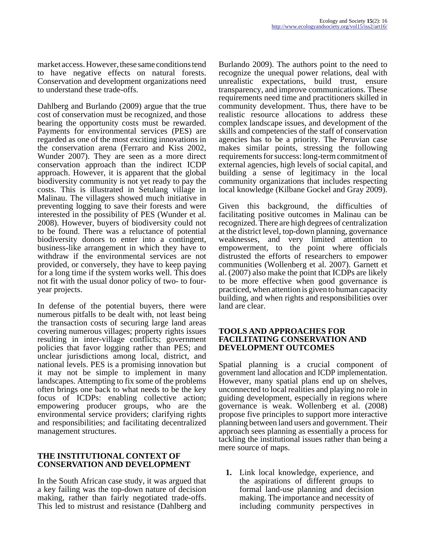market access. However, these same conditions tend to have negative effects on natural forests. Conservation and development organizations need to understand these trade-offs.

Dahlberg and Burlando (2009) argue that the true cost of conservation must be recognized, and those bearing the opportunity costs must be rewarded. Payments for environmental services (PES) are regarded as one of the most exciting innovations in the conservation arena (Ferraro and Kiss 2002, Wunder 2007). They are seen as a more direct conservation approach than the indirect ICDP approach. However, it is apparent that the global biodiversity community is not yet ready to pay the costs. This is illustrated in Setulang village in Malinau. The villagers showed much initiative in preventing logging to save their forests and were interested in the possibility of PES (Wunder et al. 2008). However, buyers of biodiversity could not to be found. There was a reluctance of potential biodiversity donors to enter into a contingent, business-like arrangement in which they have to withdraw if the environmental services are not provided, or conversely, they have to keep paying for a long time if the system works well. This does not fit with the usual donor policy of two- to fouryear projects.

In defense of the potential buyers, there were numerous pitfalls to be dealt with, not least being the transaction costs of securing large land areas covering numerous villages; property rights issues resulting in inter-village conflicts; government policies that favor logging rather than PES; and unclear jurisdictions among local, district, and national levels. PES is a promising innovation but it may not be simple to implement in many landscapes. Attempting to fix some of the problems often brings one back to what needs to be the key focus of ICDPs: enabling collective action; empowering producer groups, who are the environmental service providers; clarifying rights and responsibilities; and facilitating decentralized management structures.

#### **THE INSTITUTIONAL CONTEXT OF CONSERVATION AND DEVELOPMENT**

In the South African case study, it was argued that a key failing was the top-down nature of decision making, rather than fairly negotiated trade-offs. This led to mistrust and resistance (Dahlberg and Burlando 2009). The authors point to the need to recognize the unequal power relations, deal with unrealistic expectations, build trust, ensure transparency, and improve communications. These requirements need time and practitioners skilled in community development. Thus, there have to be realistic resource allocations to address these complex landscape issues, and development of the skills and competencies of the staff of conservation agencies has to be a priority. The Peruvian case makes similar points, stressing the following requirements for success: long-term commitment of external agencies, high levels of social capital, and building a sense of legitimacy in the local community organizations that includes respecting local knowledge (Kilbane Gockel and Gray 2009).

Given this background, the difficulties of facilitating positive outcomes in Malinau can be recognized. There are high degrees of centralization at the district level, top-down planning, governance weaknesses, and very limited attention to empowerment, to the point where officials distrusted the efforts of researchers to empower communities (Wollenberg et al. 2007). Garnett et al. (2007) also make the point that ICDPs are likely to be more effective when good governance is practiced, when attention is given to human capacity building, and when rights and responsibilities over land are clear.

#### **TOOLS AND APPROACHES FOR FACILITATING CONSERVATION AND DEVELOPMENT OUTCOMES**

Spatial planning is a crucial component of government land allocation and ICDP implementation. However, many spatial plans end up on shelves, unconnected to local realities and playing no role in guiding development, especially in regions where governance is weak. Wollenberg et al. (2008) propose five principles to support more interactive planning between land users and government. Their approach sees planning as essentially a process for tackling the institutional issues rather than being a mere source of maps.

**1.** Link local knowledge, experience, and the aspirations of different groups to formal land-use planning and decision making. The importance and necessity of including community perspectives in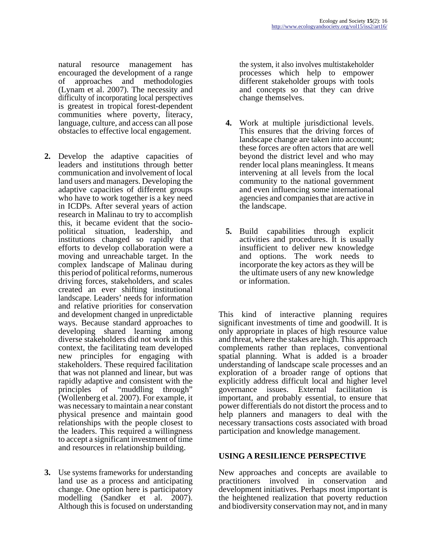natural resource management has encouraged the development of a range of approaches and methodologies (Lynam et al. 2007). The necessity and difficulty of incorporating local perspectives is greatest in tropical forest-dependent communities where poverty, literacy, language, culture, and access can all pose obstacles to effective local engagement.

- **2.** Develop the adaptive capacities of leaders and institutions through better communication and involvement of local land users and managers. Developing the adaptive capacities of different groups who have to work together is a key need in ICDPs. After several years of action research in Malinau to try to accomplish this, it became evident that the sociopolitical situation, leadership, and institutions changed so rapidly that efforts to develop collaboration were a moving and unreachable target. In the complex landscape of Malinau during this period of political reforms, numerous driving forces, stakeholders, and scales created an ever shifting institutional landscape. Leaders' needs for information and relative priorities for conservation and development changed in unpredictable ways. Because standard approaches to developing shared learning among diverse stakeholders did not work in this context, the facilitating team developed new principles for engaging with stakeholders. These required facilitation that was not planned and linear, but was rapidly adaptive and consistent with the principles of "muddling through" (Wollenberg et al. 2007). For example, it was necessary to maintain a near constant physical presence and maintain good relationships with the people closest to the leaders. This required a willingness to accept a significant investment of time and resources in relationship building.
- **3.** Use systems frameworks for understanding land use as a process and anticipating change. One option here is participatory modelling (Sandker et al. 2007). Although this is focused on understanding

the system, it also involves multistakeholder processes which help to empower different stakeholder groups with tools and concepts so that they can drive change themselves.

- **4.** Work at multiple jurisdictional levels. This ensures that the driving forces of landscape change are taken into account; these forces are often actors that are well beyond the district level and who may render local plans meaningless. It means intervening at all levels from the local community to the national government and even influencing some international agencies and companies that are active in the landscape.
- **5.** Build capabilities through explicit activities and procedures. It is usually insufficient to deliver new knowledge and options. The work needs to incorporate the key actors as they will be the ultimate users of any new knowledge or information.

This kind of interactive planning requires significant investments of time and goodwill. It is only appropriate in places of high resource value and threat, where the stakes are high. This approach complements rather than replaces, conventional spatial planning. What is added is a broader understanding of landscape scale processes and an exploration of a broader range of options that explicitly address difficult local and higher level governance issues. External facilitation is important, and probably essential, to ensure that power differentials do not distort the process and to help planners and managers to deal with the necessary transactions costs associated with broad participation and knowledge management.

### **USING A RESILIENCE PERSPECTIVE**

New approaches and concepts are available to practitioners involved in conservation and development initiatives. Perhaps most important is the heightened realization that poverty reduction and biodiversity conservation may not, and in many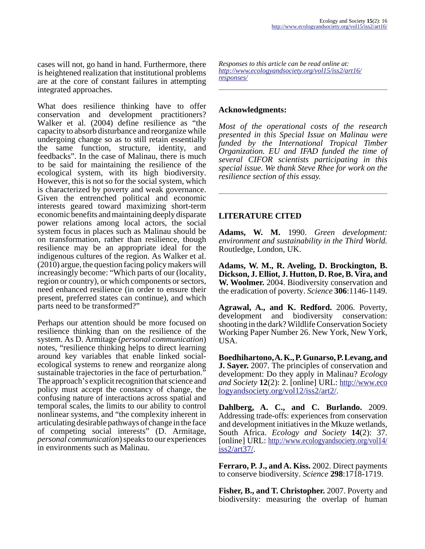cases will not, go hand in hand. Furthermore, there is heightened realization that institutional problems are at the core of constant failures in attempting integrated approaches.

What does resilience thinking have to offer conservation and development practitioners? Walker et al. (2004) define resilience as "the capacity to absorb disturbance and reorganize while undergoing change so as to still retain essentially the same function, structure, identity, and feedbacks". In the case of Malinau, there is much to be said for maintaining the resilience of the ecological system, with its high biodiversity. However, this is not so for the social system, which is characterized by poverty and weak governance. Given the entrenched political and economic interests geared toward maximizing short-term economic benefits and maintaining deeply disparate power relations among local actors, the social system focus in places such as Malinau should be on transformation, rather than resilience, though resilience may be an appropriate ideal for the indigenous cultures of the region. As Walker et al. (2010) argue, the question facing policy makers will increasingly become: "Which parts of our (locality, region or country), or which components or sectors, need enhanced resilience (in order to ensure their present, preferred states can continue), and which parts need to be transformed?"

Perhaps our attention should be more focused on resilience thinking than on the resilience of the system. As D. Armitage (*personal communication*) notes, "resilience thinking helps to direct learning around key variables that enable linked socialecological systems to renew and reorganize along sustainable trajectories in the face of perturbation. The approach's explicit recognition that science and policy must accept the constancy of change, the confusing nature of interactions across spatial and temporal scales, the limits to our ability to control nonlinear systems, and "the complexity inherent in articulating desirable pathways of change in the face of competing social interests" (D. Armitage, *personal communication*) speaks to our experiences in environments such as Malinau.

*Responses to this article can be read online at: [http://www](http://www.ecologyandsociety.org/vol15/iss2/art16/responses/).ecologyandsociety.org/vol15/iss2/art16/ responses/*

## **Acknowledgments:**

*Most of the operational costs of the research presented in this Special Issue on Malinau were funded by the International Tropical Timber Organization. EU and IFAD funded the time of several CIFOR scientists participating in this special issue. We thank Steve Rhee for work on the resilience section of this essay.*

# **LITERATURE CITED**

**Adams, W. M.** 1990. *Green development: environment and sustainability in the Third World.* Routledge, London, UK.

**Adams, W. M., R. Aveling, D. Brockington, B. Dickson, J. Elliot, J. Hutton, D. Roe, B. Vira, and W. Woolmer.** 2004. Biodiversity conservation and the eradication of poverty. *Science* **306**:1146-1149.

**Agrawal, A., and K. Redford.** 2006. Poverty, development and biodiversity conservation: shooting in the dark? Wildlife Conservation Society Working Paper Number 26. New York, New York, USA.

**Boedhihartono, A. K., P. Gunarso, P. Levang, and J. Sayer.** 2007. The principles of conservation and development: Do they apply in Malinau? *Ecology and Society* **12**(2): 2. [online] URL: [http://www.eco](http://www.ecologyandsociety.org/vol12/iss2/art2/) [logyandsociety.org/vol12/iss2/art2/.](http://www.ecologyandsociety.org/vol12/iss2/art2/)

**Dahlberg, A. C., and C. Burlando.** 2009. Addressing trade-offs: experiences from conservation and development initiatives in the Mkuze wetlands, South Africa. *Ecology and Society* **14**(2): 37. [online] URL: [http://www.ecologyandsociety.org/vol14/](http://www.ecologyandsociety.org/vol14/iss2/art37/) [iss2/art37/](http://www.ecologyandsociety.org/vol14/iss2/art37/).

**Ferraro, P. J., and A. Kiss.** 2002. Direct payments to conserve biodiversity. *Science* **298**:1718-1719.

**Fisher, B., and T. Christopher.** 2007. Poverty and biodiversity: measuring the overlap of human